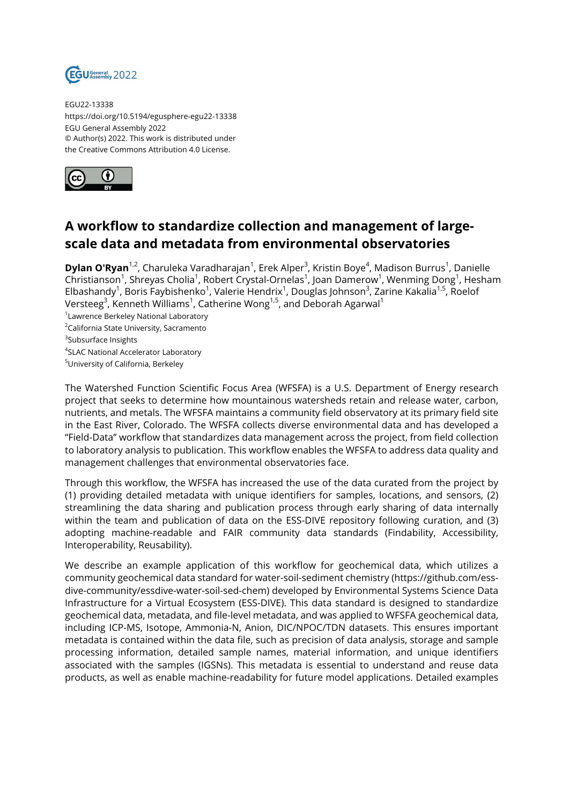

EGU22-13338 https://doi.org/10.5194/egusphere-egu22-13338 EGU General Assembly 2022 © Author(s) 2022. This work is distributed under the Creative Commons Attribution 4.0 License.



## **A workflow to standardize collection and management of largescale data and metadata from environmental observatories**

**Dylan O'Ryan**<sup>1,2</sup>, Charuleka Varadharajan<sup>1</sup>, Erek Alper<sup>3</sup>, Kristin Boye<sup>4</sup>, Madison Burrus<sup>1</sup>, Danielle Christianson<sup>1</sup>, Shreyas Cholia<sup>1</sup>, Robert Crystal-Ornelas<sup>1</sup>, Joan Damerow<sup>1</sup>, Wenming Dong<sup>1</sup>, Hesham Elbashandy<sup>1</sup>, Boris Faybishenko<sup>1</sup>, Valerie Hendrix<sup>1</sup>, Douglas Johnson<sup>3</sup>, Zarine Kakalia<sup>1,5</sup>, Roelof Versteeg $^3$ , Kenneth Williams $^1$ , Catherine Wong $^{1,5}$ , and Deborah Agarwal $^1$ 

1 Lawrence Berkeley National Laboratory

<sup>2</sup>California State University, Sacramento

4 SLAC National Accelerator Laboratory

The Watershed Function Scientific Focus Area (WFSFA) is a U.S. Department of Energy research project that seeks to determine how mountainous watersheds retain and release water, carbon, nutrients, and metals. The WFSFA maintains a community field observatory at its primary field site in the East River, Colorado. The WFSFA collects diverse environmental data and has developed a "Field-Data" workflow that standardizes data management across the project, from field collection to laboratory analysis to publication. This workflow enables the WFSFA to address data quality and management challenges that environmental observatories face.

Through this workflow, the WFSFA has increased the use of the data curated from the project by (1) providing detailed metadata with unique identifiers for samples, locations, and sensors, (2) streamlining the data sharing and publication process through early sharing of data internally within the team and publication of data on the ESS-DIVE repository following curation, and (3) adopting machine-readable and FAIR community data standards (Findability, Accessibility, Interoperability, Reusability).

We describe an example application of this workflow for geochemical data, which utilizes a community geochemical data standard for water-soil-sediment chemistry (https://github.com/essdive-community/essdive-water-soil-sed-chem) developed by Environmental Systems Science Data Infrastructure for a Virtual Ecosystem (ESS-DIVE). This data standard is designed to standardize geochemical data, metadata, and file-level metadata, and was applied to WFSFA geochemical data, including ICP-MS, Isotope, Ammonia-N, Anion, DIC/NPOC/TDN datasets. This ensures important metadata is contained within the data file, such as precision of data analysis, storage and sample processing information, detailed sample names, material information, and unique identifiers associated with the samples (IGSNs). This metadata is essential to understand and reuse data products, as well as enable machine-readability for future model applications. Detailed examples

<sup>&</sup>lt;sup>3</sup>Subsurface Insights

<sup>5</sup>University of California, Berkeley